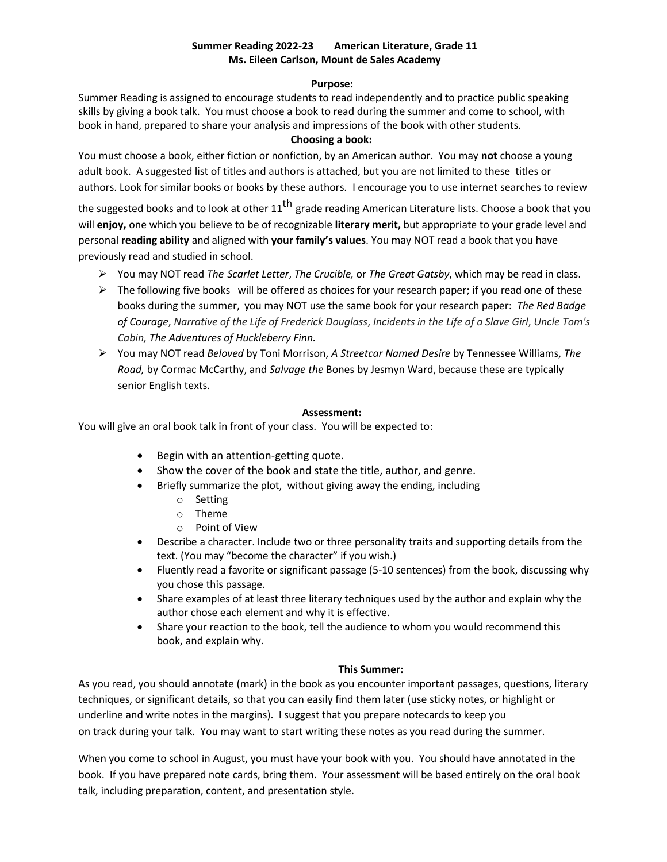# **Summer Reading 2022-23 American Literature, Grade 11 Ms. Eileen Carlson, Mount de Sales Academy**

### **Purpose:**

Summer Reading is assigned to encourage students to read independently and to practice public speaking skills by giving a book talk. You must choose a book to read during the summer and come to school, with book in hand, prepared to share your analysis and impressions of the book with other students.

## **Choosing a book:**

You must choose a book, either fiction or nonfiction, by an American author. You may **not** choose a young adult book. A suggested list of titles and authors is attached, but you are not limited to these titles or authors. Look for similar books or books by these authors. I encourage you to use internet searches to review

the suggested books and to look at other 11<sup>th</sup> grade reading American Literature lists. Choose a book that you will **enjoy,** one which you believe to be of recognizable **literary merit,** but appropriate to your grade level and personal **reading ability** and aligned with **your family's values**. You may NOT read a book that you have previously read and studied in school.

- You may NOT read *The Scarlet Letter*, *The Crucible,* or *The Great Gatsby*, which may be read in class.
- $\triangleright$  The following five books will be offered as choices for your research paper; if you read one of these books during the summer, you may NOT use the same book for your research paper: *The Red Badge* of Courage, Narrative of the Life of Frederick Douglass, Incidents in the Life of a Slave Girl, Uncle Tom's *Cabin, The Adventures of Huckleberry Finn.*
- You may NOT read *Beloved* by Toni Morrison, *A Streetcar Named Desire* by Tennessee Williams, *The Road,* by Cormac McCarthy, and *Salvage the* Bones by Jesmyn Ward, because these are typically senior English texts.

## **Assessment:**

You will give an oral book talk in front of your class. You will be expected to:

- Begin with an attention-getting quote.
- Show the cover of the book and state the title, author, and genre.
- Briefly summarize the plot, without giving away the ending, including
	- o Setting
	- o Theme
	- o Point of View
- Describe a character. Include two or three personality traits and supporting details from the text. (You may "become the character" if you wish.)
- Fluently read a favorite or significant passage (5-10 sentences) from the book, discussing why you chose this passage.
- Share examples of at least three literary techniques used by the author and explain why the author chose each element and why it is effective.
- Share your reaction to the book, tell the audience to whom you would recommend this book, and explain why.

## **This Summer:**

As you read, you should annotate (mark) in the book as you encounter important passages, questions, literary techniques, or significant details, so that you can easily find them later (use sticky notes, or highlight or underline and write notes in the margins). I suggest that you prepare notecards to keep you on track during your talk. You may want to start writing these notes as you read during the summer.

When you come to school in August, you must have your book with you. You should have annotated in the book. If you have prepared note cards, bring them. Your assessment will be based entirely on the oral book talk, including preparation, content, and presentation style.